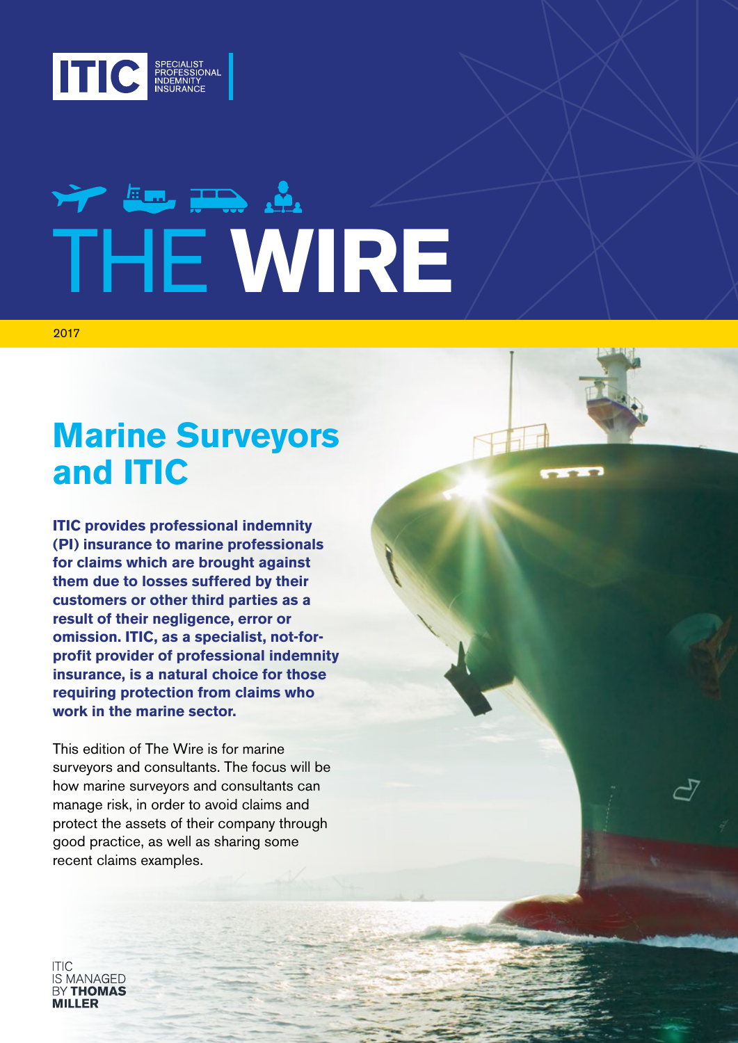

# VY Em The A THE **WIRE**

2017

# **Marine Surveyors and ITIC**

**ITIC provides professional indemnity (PI) insurance to marine professionals for claims which are brought against them due to losses suffered by their customers or other third parties as a result of their negligence, error or omission. ITIC, as a specialist, not-forprofit provider of professional indemnity insurance, is a natural choice for those requiring protection from claims who work in the marine sector.**

This edition of The Wire is for marine surveyors and consultants. The focus will be how marine surveyors and consultants can manage risk, in order to avoid claims and protect the assets of their company through good practice, as well as sharing some recent claims examples.

S MANAGED **RY THOMAS**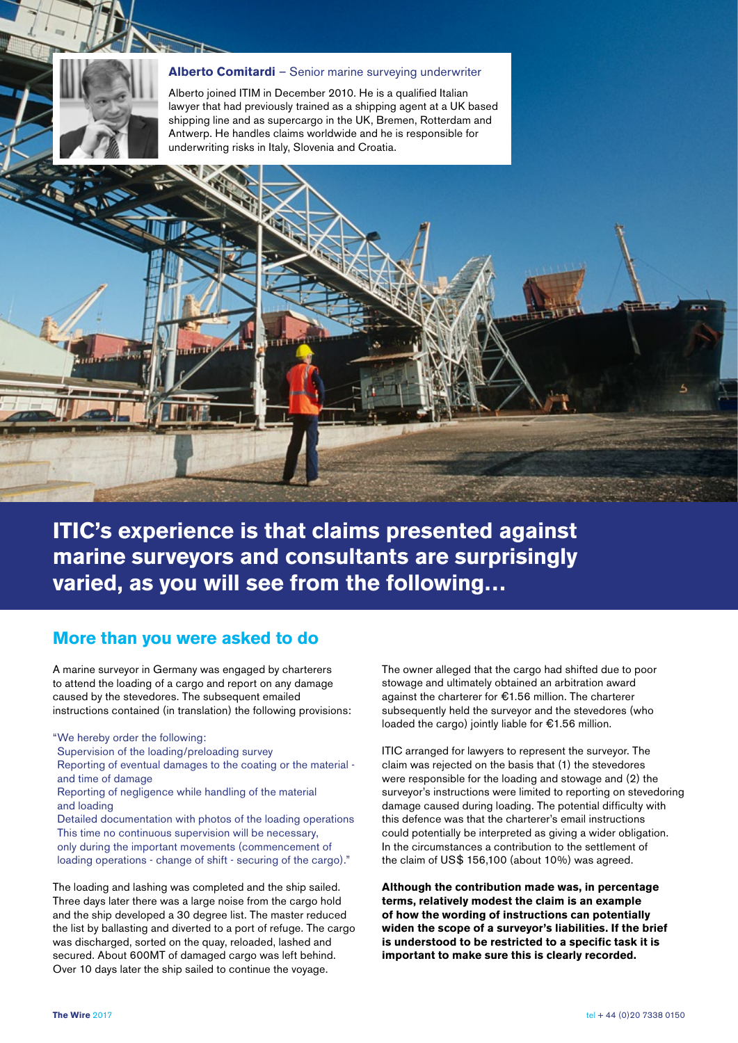

#### **Alberto Comitardi** – Senior marine surveying underwriter

Alberto joined ITIM in December 2010. He is a qualified Italian lawyer that had previously trained as a shipping agent at a UK based shipping line and as supercargo in the UK, Bremen, Rotterdam and Antwerp. He handles claims worldwide and he is responsible for underwriting risks in Italy, Slovenia and Croatia.

**ITIC's experience is that claims presented against marine surveyors and consultants are surprisingly varied, as you will see from the following…**

#### **More than you were asked to do**

A marine surveyor in Germany was engaged by charterers to attend the loading of a cargo and report on any damage caused by the stevedores. The subsequent emailed instructions contained (in translation) the following provisions:

"We hereby order the following:

Supervision of the loading/preloading survey

Reporting of eventual damages to the coating or the material and time of damage

Reporting of negligence while handling of the material and loading

Detailed documentation with photos of the loading operations This time no continuous supervision will be necessary, only during the important movements (commencement of loading operations - change of shift - securing of the cargo)."

The loading and lashing was completed and the ship sailed. Three days later there was a large noise from the cargo hold and the ship developed a 30 degree list. The master reduced the list by ballasting and diverted to a port of refuge. The cargo was discharged, sorted on the quay, reloaded, lashed and secured. About 600MT of damaged cargo was left behind. Over 10 days later the ship sailed to continue the voyage.

The owner alleged that the cargo had shifted due to poor stowage and ultimately obtained an arbitration award against the charterer for €1.56 million. The charterer subsequently held the surveyor and the stevedores (who loaded the cargo) jointly liable for €1.56 million.

ITIC arranged for lawyers to represent the surveyor. The claim was rejected on the basis that (1) the stevedores were responsible for the loading and stowage and (2) the surveyor's instructions were limited to reporting on stevedoring damage caused during loading. The potential difficulty with this defence was that the charterer's email instructions could potentially be interpreted as giving a wider obligation. In the circumstances a contribution to the settlement of the claim of US\$ 156,100 (about 10%) was agreed.

**Although the contribution made was, in percentage terms, relatively modest the claim is an example of how the wording of instructions can potentially widen the scope of a surveyor's liabilities. If the brief is understood to be restricted to a specific task it is important to make sure this is clearly recorded.**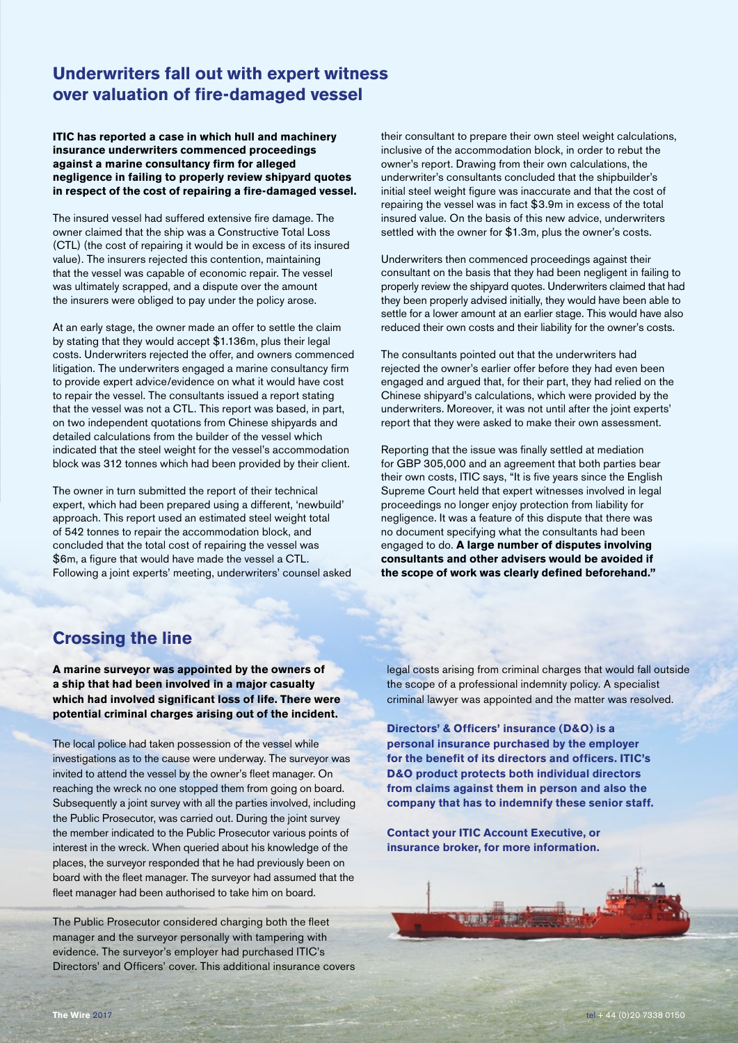## **Underwriters fall out with expert witness over valuation of fire-damaged vessel**

**ITIC has reported a case in which hull and machinery insurance underwriters commenced proceedings against a marine consultancy firm for alleged negligence in failing to properly review shipyard quotes in respect of the cost of repairing a fire-damaged vessel.**

The insured vessel had suffered extensive fire damage. The owner claimed that the ship was a Constructive Total Loss (CTL) (the cost of repairing it would be in excess of its insured value). The insurers rejected this contention, maintaining that the vessel was capable of economic repair. The vessel was ultimately scrapped, and a dispute over the amount the insurers were obliged to pay under the policy arose.

At an early stage, the owner made an offer to settle the claim by stating that they would accept \$1.136m, plus their legal costs. Underwriters rejected the offer, and owners commenced litigation. The underwriters engaged a marine consultancy firm to provide expert advice/evidence on what it would have cost to repair the vessel. The consultants issued a report stating that the vessel was not a CTL. This report was based, in part, on two independent quotations from Chinese shipyards and detailed calculations from the builder of the vessel which indicated that the steel weight for the vessel's accommodation block was 312 tonnes which had been provided by their client.

The owner in turn submitted the report of their technical expert, which had been prepared using a different, 'newbuild' approach. This report used an estimated steel weight total of 542 tonnes to repair the accommodation block, and concluded that the total cost of repairing the vessel was \$6m, a figure that would have made the vessel a CTL. Following a joint experts' meeting, underwriters' counsel asked their consultant to prepare their own steel weight calculations, inclusive of the accommodation block, in order to rebut the owner's report. Drawing from their own calculations, the underwriter's consultants concluded that the shipbuilder's initial steel weight figure was inaccurate and that the cost of repairing the vessel was in fact \$3.9m in excess of the total insured value. On the basis of this new advice, underwriters settled with the owner for \$1.3m, plus the owner's costs.

Underwriters then commenced proceedings against their consultant on the basis that they had been negligent in failing to properly review the shipyard quotes. Underwriters claimed that had they been properly advised initially, they would have been able to settle for a lower amount at an earlier stage. This would have also reduced their own costs and their liability for the owner's costs.

The consultants pointed out that the underwriters had rejected the owner's earlier offer before they had even been engaged and argued that, for their part, they had relied on the Chinese shipyard's calculations, which were provided by the underwriters. Moreover, it was not until after the joint experts' report that they were asked to make their own assessment.

Reporting that the issue was finally settled at mediation for GBP 305,000 and an agreement that both parties bear their own costs, ITIC says, "It is five years since the English Supreme Court held that expert witnesses involved in legal proceedings no longer enjoy protection from liability for negligence. It was a feature of this dispute that there was no document specifying what the consultants had been engaged to do. **A large number of disputes involving consultants and other advisers would be avoided if the scope of work was clearly defined beforehand."**

### **Crossing the line**

**A marine surveyor was appointed by the owners of a ship that had been involved in a major casualty which had involved significant loss of life. There were potential criminal charges arising out of the incident.**

The local police had taken possession of the vessel while investigations as to the cause were underway. The surveyor was invited to attend the vessel by the owner's fleet manager. On reaching the wreck no one stopped them from going on board. Subsequently a joint survey with all the parties involved, including the Public Prosecutor, was carried out. During the joint survey the member indicated to the Public Prosecutor various points of interest in the wreck. When queried about his knowledge of the places, the surveyor responded that he had previously been on board with the fleet manager. The surveyor had assumed that the fleet manager had been authorised to take him on board.

The Public Prosecutor considered charging both the fleet manager and the surveyor personally with tampering with evidence. The surveyor's employer had purchased ITIC's Directors' and Officers' cover. This additional insurance covers legal costs arising from criminal charges that would fall outside the scope of a professional indemnity policy. A specialist criminal lawyer was appointed and the matter was resolved.

**Directors' & Officers' insurance (D&O) is a personal insurance purchased by the employer for the benefit of its directors and officers. ITIC's D&O product protects both individual directors from claims against them in person and also the company that has to indemnify these senior staff.**

**Contact your ITIC Account Executive, or insurance broker, for more information.**